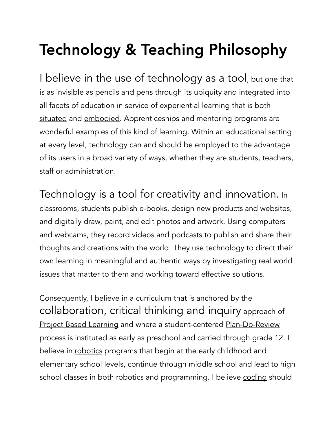## Technology & Teaching Philosophy

I believe in the use of technology as a tool, but one that is as invisible as pencils and pens through its ubiquity and integrated into all facets of education in service of experiential learning that is both situated and embodied. Apprenticeships and mentoring programs are wonderful examples of this kind of learning. Within an educational setting at every level, technology can and should be employed to the advantage of its users in a broad variety of ways, whether they are students, teachers, staff or administration.

Technology is a tool for creativity and innovation. In classrooms, students publish e-books, design new products and websites, and digitally draw, paint, and edit photos and artwork. Using computers and webcams, they record videos and podcasts to publish and share their thoughts and creations with the world. They use technology to direct their own learning in meaningful and authentic ways by investigating real world issues that matter to them and working toward effective solutions.

Consequently, I believe in a curriculum that is anchored by the collaboration, critical thinking and inquiry approach of Project Based Learning and where a student-centered Plan-Do-Review process is instituted as early as preschool and carried through grade 12. I believe in robotics programs that begin at the early childhood and elementary school levels, continue through middle school and lead to high school classes in both robotics and programming. I believe coding should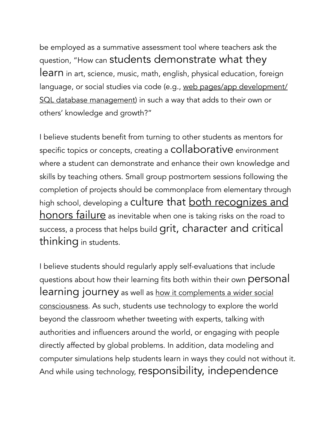be employed as a summative assessment tool where teachers ask the question, "How can students demonstrate what they learn in art, science, music, math, english, physical education, foreign language, or social studies via code (e.g., web pages/app development/ SQL database management) in such a way that adds to their own or others' knowledge and growth?"

I believe students benefit from turning to other students as mentors for specific topics or concepts, creating a **COllaborative** environment where a student can demonstrate and enhance their own knowledge and skills by teaching others. Small group postmortem sessions following the completion of projects should be commonplace from elementary through high school, developing a culture that **both recognizes and** honors failure as inevitable when one is taking risks on the road to success, a process that helps build grit, character and critical thinking in students.

I believe students should regularly apply self-evaluations that include questions about how their learning fits both within their own personal learning journey as well as how it complements a wider social consciousness. As such, students use technology to explore the world beyond the classroom whether tweeting with experts, talking with authorities and influencers around the world, or engaging with people directly affected by global problems. In addition, data modeling and computer simulations help students learn in ways they could not without it. And while using technology, responsibility, independence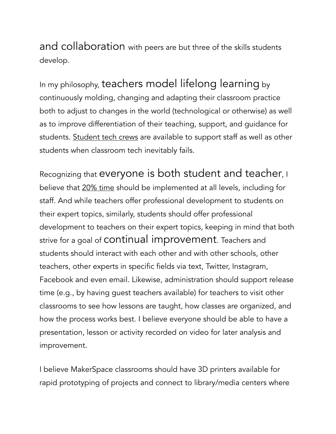and collaboration with peers are but three of the skills students develop.

In my philosophy, teachers model lifelong learning by continuously molding, changing and adapting their classroom practice both to adjust to changes in the world (technological or otherwise) as well as to improve differentiation of their teaching, support, and guidance for students. Student tech crews are available to support staff as well as other students when classroom tech inevitably fails.

Recognizing that everyone is both student and teacher, I believe that 20% time should be implemented at all levels, including for staff. And while teachers offer professional development to students on their expert topics, similarly, students should offer professional development to teachers on their expert topics, keeping in mind that both strive for a goal of continual improvement. Teachers and students should interact with each other and with other schools, other teachers, other experts in specific fields via text, Twitter, Instagram, Facebook and even email. Likewise, administration should support release time (e.g., by having guest teachers available) for teachers to visit other classrooms to see how lessons are taught, how classes are organized, and how the process works best. I believe everyone should be able to have a presentation, lesson or activity recorded on video for later analysis and improvement.

I believe MakerSpace classrooms should have 3D printers available for rapid prototyping of projects and connect to library/media centers where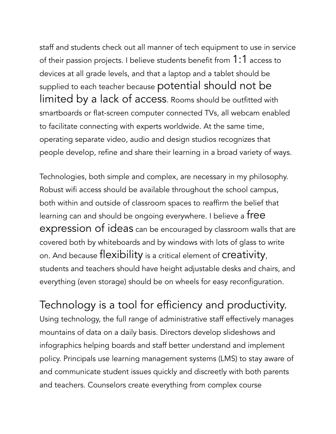staff and students check out all manner of tech equipment to use in service of their passion projects. I believe students benefit from 1:1 access to devices at all grade levels, and that a laptop and a tablet should be supplied to each teacher because potential should not be limited by a lack of access. Rooms should be outfitted with smartboards or flat-screen computer connected TVs, all webcam enabled to facilitate connecting with experts worldwide. At the same time, operating separate video, audio and design studios recognizes that people develop, refine and share their learning in a broad variety of ways.

Technologies, both simple and complex, are necessary in my philosophy. Robust wifi access should be available throughout the school campus, both within and outside of classroom spaces to reaffirm the belief that learning can and should be ongoing everywhere. I believe a free expression of ideas can be encouraged by classroom walls that are covered both by whiteboards and by windows with lots of glass to write on. And because flexibility is a critical element of creativity, students and teachers should have height adjustable desks and chairs, and everything (even storage) should be on wheels for easy reconfiguration.

Technology is a tool for efficiency and productivity. Using technology, the full range of administrative staff effectively manages mountains of data on a daily basis. Directors develop slideshows and infographics helping boards and staff better understand and implement policy. Principals use learning management systems (LMS) to stay aware of and communicate student issues quickly and discreetly with both parents and teachers. Counselors create everything from complex course